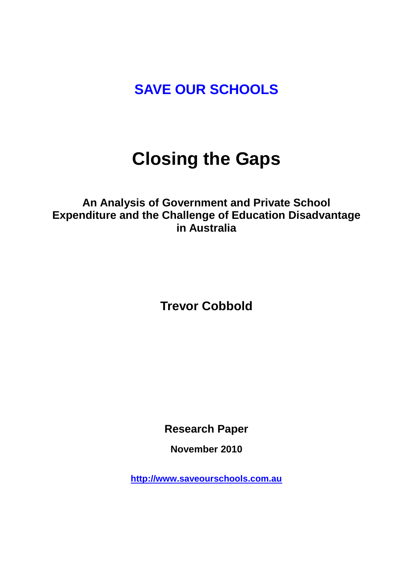# **SAVE OUR SCHOOLS**

# **Closing the Gaps**

# **An Analysis of Government and Private School Expenditure and the Challenge of Education Disadvantage in Australia**

**Trevor Cobbold**

**Research Paper** 

**November 2010**

**[http://www.saveourschools.com.au](http://www.saveourschools.com.au/)**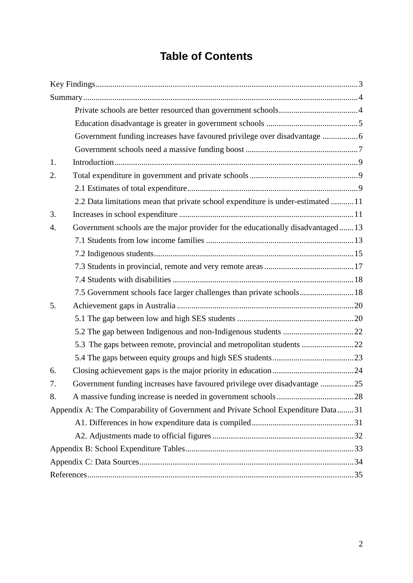# **Table of Contents**

|    | Government funding increases have favoured privilege over disadvantage 6          |  |  |  |  |  |  |
|----|-----------------------------------------------------------------------------------|--|--|--|--|--|--|
|    |                                                                                   |  |  |  |  |  |  |
| 1. |                                                                                   |  |  |  |  |  |  |
| 2. |                                                                                   |  |  |  |  |  |  |
|    |                                                                                   |  |  |  |  |  |  |
|    | 2.2 Data limitations mean that private school expenditure is under-estimated 11   |  |  |  |  |  |  |
| 3. |                                                                                   |  |  |  |  |  |  |
| 4. | Government schools are the major provider for the educationally disadvantaged13   |  |  |  |  |  |  |
|    |                                                                                   |  |  |  |  |  |  |
|    |                                                                                   |  |  |  |  |  |  |
|    |                                                                                   |  |  |  |  |  |  |
|    |                                                                                   |  |  |  |  |  |  |
|    | 7.5 Government schools face larger challenges than private schools 18             |  |  |  |  |  |  |
| 5. |                                                                                   |  |  |  |  |  |  |
|    |                                                                                   |  |  |  |  |  |  |
|    |                                                                                   |  |  |  |  |  |  |
|    | 5.3 The gaps between remote, provincial and metropolitan students 22              |  |  |  |  |  |  |
|    |                                                                                   |  |  |  |  |  |  |
| 6. |                                                                                   |  |  |  |  |  |  |
| 7. | Government funding increases have favoured privilege over disadvantage 25         |  |  |  |  |  |  |
| 8. |                                                                                   |  |  |  |  |  |  |
|    | Appendix A: The Comparability of Government and Private School Expenditure Data31 |  |  |  |  |  |  |
|    |                                                                                   |  |  |  |  |  |  |
|    |                                                                                   |  |  |  |  |  |  |
|    |                                                                                   |  |  |  |  |  |  |
|    |                                                                                   |  |  |  |  |  |  |
|    |                                                                                   |  |  |  |  |  |  |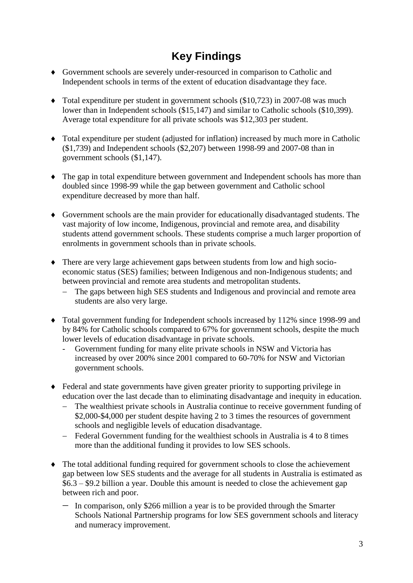# **Key Findings**

- <span id="page-2-0"></span> Government schools are severely under-resourced in comparison to Catholic and Independent schools in terms of the extent of education disadvantage they face.
- $\blacklozenge$  Total expenditure per student in government schools (\$10,723) in 2007-08 was much lower than in Independent schools (\$15,147) and similar to Catholic schools (\$10,399). Average total expenditure for all private schools was \$12,303 per student.
- Total expenditure per student (adjusted for inflation) increased by much more in Catholic (\$1,739) and Independent schools (\$2,207) between 1998-99 and 2007-08 than in government schools (\$1,147).
- The gap in total expenditure between government and Independent schools has more than doubled since 1998-99 while the gap between government and Catholic school expenditure decreased by more than half.
- Government schools are the main provider for educationally disadvantaged students. The vast majority of low income, Indigenous, provincial and remote area, and disability students attend government schools. These students comprise a much larger proportion of enrolments in government schools than in private schools.
- There are very large achievement gaps between students from low and high socioeconomic status (SES) families; between Indigenous and non-Indigenous students; and between provincial and remote area students and metropolitan students.
	- The gaps between high SES students and Indigenous and provincial and remote area students are also very large.
- Total government funding for Independent schools increased by 112% since 1998-99 and by 84% for Catholic schools compared to 67% for government schools, despite the much lower levels of education disadvantage in private schools.
	- Government funding for many elite private schools in NSW and Victoria has increased by over 200% since 2001 compared to 60-70% for NSW and Victorian government schools.
- Federal and state governments have given greater priority to supporting privilege in education over the last decade than to eliminating disadvantage and inequity in education.
	- The wealthiest private schools in Australia continue to receive government funding of \$2,000-\$4,000 per student despite having 2 to 3 times the resources of government schools and negligible levels of education disadvantage.
	- Federal Government funding for the wealthiest schools in Australia is 4 to 8 times more than the additional funding it provides to low SES schools.
- The total additional funding required for government schools to close the achievement gap between low SES students and the average for all students in Australia is estimated as \$6.3 – \$9.2 billion a year. Double this amount is needed to close the achievement gap between rich and poor.
	- $-$  In comparison, only \$266 million a year is to be provided through the Smarter Schools National Partnership programs for low SES government schools and literacy and numeracy improvement.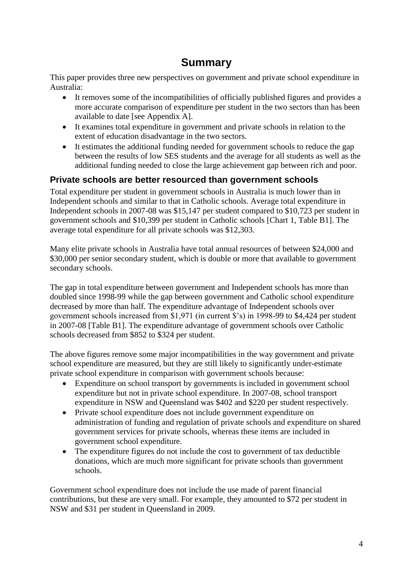# **Summary**

<span id="page-3-0"></span>This paper provides three new perspectives on government and private school expenditure in Australia:

- It removes some of the incompatibilities of officially published figures and provides a more accurate comparison of expenditure per student in the two sectors than has been available to date [see Appendix A].
- It examines total expenditure in government and private schools in relation to the extent of education disadvantage in the two sectors.
- It estimates the additional funding needed for government schools to reduce the gap between the results of low SES students and the average for all students as well as the additional funding needed to close the large achievement gap between rich and poor.

### <span id="page-3-1"></span>**Private schools are better resourced than government schools**

Total expenditure per student in government schools in Australia is much lower than in Independent schools and similar to that in Catholic schools. Average total expenditure in Independent schools in 2007-08 was \$15,147 per student compared to \$10,723 per student in government schools and \$10,399 per student in Catholic schools [Chart 1, Table B1]. The average total expenditure for all private schools was \$12,303.

Many elite private schools in Australia have total annual resources of between \$24,000 and \$30,000 per senior secondary student, which is double or more that available to government secondary schools.

The gap in total expenditure between government and Independent schools has more than doubled since 1998-99 while the gap between government and Catholic school expenditure decreased by more than half. The expenditure advantage of Independent schools over government schools increased from \$1,971 (in current \$'s) in 1998-99 to \$4,424 per student in 2007-08 [Table B1]. The expenditure advantage of government schools over Catholic schools decreased from \$852 to \$324 per student.

The above figures remove some major incompatibilities in the way government and private school expenditure are measured, but they are still likely to significantly under-estimate private school expenditure in comparison with government schools because:

- Expenditure on school transport by governments is included in government school expenditure but not in private school expenditure. In 2007-08, school transport expenditure in NSW and Queensland was \$402 and \$220 per student respectively.
- Private school expenditure does not include government expenditure on administration of funding and regulation of private schools and expenditure on shared government services for private schools, whereas these items are included in government school expenditure.
- The expenditure figures do not include the cost to government of tax deductible donations, which are much more significant for private schools than government schools.

Government school expenditure does not include the use made of parent financial contributions, but these are very small. For example, they amounted to \$72 per student in NSW and \$31 per student in Queensland in 2009.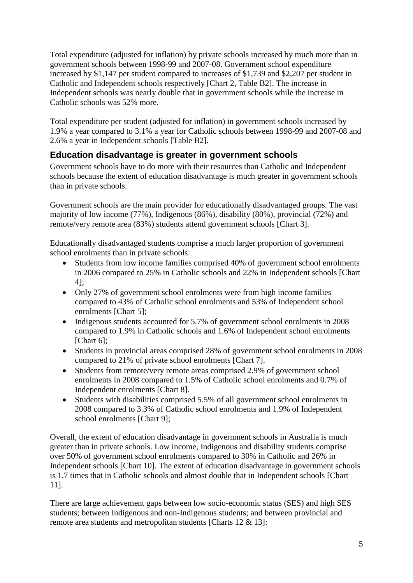Total expenditure (adjusted for inflation) by private schools increased by much more than in government schools between 1998-99 and 2007-08. Government school expenditure increased by \$1,147 per student compared to increases of \$1,739 and \$2,207 per student in Catholic and Independent schools respectively [Chart 2, Table B2]. The increase in Independent schools was nearly double that in government schools while the increase in Catholic schools was 52% more.

Total expenditure per student (adjusted for inflation) in government schools increased by 1.9% a year compared to 3.1% a year for Catholic schools between 1998-99 and 2007-08 and 2.6% a year in Independent schools [Table B2].

### <span id="page-4-0"></span>**Education disadvantage is greater in government schools**

Government schools have to do more with their resources than Catholic and Independent schools because the extent of education disadvantage is much greater in government schools than in private schools.

Government schools are the main provider for educationally disadvantaged groups. The vast majority of low income (77%), Indigenous (86%), disability (80%), provincial (72%) and remote/very remote area (83%) students attend government schools [Chart 3].

Educationally disadvantaged students comprise a much larger proportion of government school enrolments than in private schools:

- Students from low income families comprised 40% of government school enrolments in 2006 compared to 25% in Catholic schools and 22% in Independent schools [Chart 4];
- Only 27% of government school enrolments were from high income families compared to 43% of Catholic school enrolments and 53% of Independent school enrolments [Chart 5];
- Indigenous students accounted for 5.7% of government school enrolments in 2008 compared to 1.9% in Catholic schools and 1.6% of Independent school enrolments [Chart 6]:
- Students in provincial areas comprised 28% of government school enrolments in 2008 compared to 21% of private school enrolments [Chart 7].
- Students from remote/very remote areas comprised 2.9% of government school enrolments in 2008 compared to 1.5% of Catholic school enrolments and 0.7% of Independent enrolments [Chart 8].
- Students with disabilities comprised 5.5% of all government school enrolments in 2008 compared to 3.3% of Catholic school enrolments and 1.9% of Independent school enrolments [Chart 9];

Overall, the extent of education disadvantage in government schools in Australia is much greater than in private schools. Low income, Indigenous and disability students comprise over 50% of government school enrolments compared to 30% in Catholic and 26% in Independent schools [Chart 10]. The extent of education disadvantage in government schools is 1.7 times that in Catholic schools and almost double that in Independent schools [Chart 11].

There are large achievement gaps between low socio-economic status (SES) and high SES students; between Indigenous and non-Indigenous students; and between provincial and remote area students and metropolitan students [Charts 12 & 13]: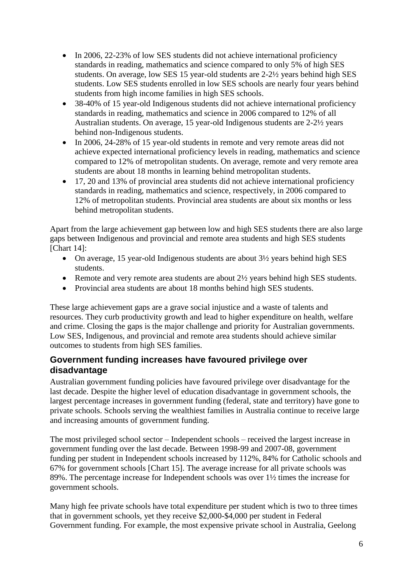- In 2006, 22-23% of low SES students did not achieve international proficiency standards in reading, mathematics and science compared to only 5% of high SES students. On average, low SES 15 year-old students are 2-2½ years behind high SES students. Low SES students enrolled in low SES schools are nearly four years behind students from high income families in high SES schools.
- 38-40% of 15 year-old Indigenous students did not achieve international proficiency standards in reading, mathematics and science in 2006 compared to 12% of all Australian students. On average, 15 year-old Indigenous students are 2-2½ years behind non-Indigenous students.
- In 2006, 24-28% of 15 year-old students in remote and very remote areas did not achieve expected international proficiency levels in reading, mathematics and science compared to 12% of metropolitan students. On average, remote and very remote area students are about 18 months in learning behind metropolitan students.
- 17, 20 and 13% of provincial area students did not achieve international proficiency standards in reading, mathematics and science, respectively, in 2006 compared to 12% of metropolitan students. Provincial area students are about six months or less behind metropolitan students.

Apart from the large achievement gap between low and high SES students there are also large gaps between Indigenous and provincial and remote area students and high SES students [Chart 14]:

- On average, 15 year-old Indigenous students are about  $3\frac{1}{2}$  years behind high SES students.
- Remote and very remote area students are about 2½ years behind high SES students.
- Provincial area students are about 18 months behind high SES students.

These large achievement gaps are a grave social injustice and a waste of talents and resources. They curb productivity growth and lead to higher expenditure on health, welfare and crime. Closing the gaps is the major challenge and priority for Australian governments. Low SES, Indigenous, and provincial and remote area students should achieve similar outcomes to students from high SES families.

#### <span id="page-5-0"></span>**Government funding increases have favoured privilege over disadvantage**

Australian government funding policies have favoured privilege over disadvantage for the last decade. Despite the higher level of education disadvantage in government schools, the largest percentage increases in government funding (federal, state and territory) have gone to private schools. Schools serving the wealthiest families in Australia continue to receive large and increasing amounts of government funding.

The most privileged school sector – Independent schools – received the largest increase in government funding over the last decade. Between 1998-99 and 2007-08, government funding per student in Independent schools increased by 112%, 84% for Catholic schools and 67% for government schools [Chart 15]. The average increase for all private schools was 89%. The percentage increase for Independent schools was over 1½ times the increase for government schools.

Many high fee private schools have total expenditure per student which is two to three times that in government schools, yet they receive \$2,000-\$4,000 per student in Federal Government funding. For example, the most expensive private school in Australia, Geelong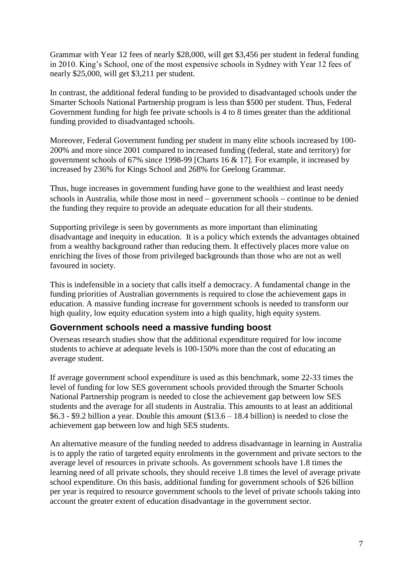Grammar with Year 12 fees of nearly \$28,000, will get \$3,456 per student in federal funding in 2010. King's School, one of the most expensive schools in Sydney with Year 12 fees of nearly \$25,000, will get \$3,211 per student.

In contrast, the additional federal funding to be provided to disadvantaged schools under the Smarter Schools National Partnership program is less than \$500 per student. Thus, Federal Government funding for high fee private schools is 4 to 8 times greater than the additional funding provided to disadvantaged schools.

Moreover, Federal Government funding per student in many elite schools increased by 100- 200% and more since 2001 compared to increased funding (federal, state and territory) for government schools of 67% since 1998-99 [Charts 16 & 17]. For example, it increased by increased by 236% for Kings School and 268% for Geelong Grammar.

Thus, huge increases in government funding have gone to the wealthiest and least needy schools in Australia, while those most in need  $-$  government schools  $-$  continue to be denied the funding they require to provide an adequate education for all their students.

Supporting privilege is seen by governments as more important than eliminating disadvantage and inequity in education. It is a policy which extends the advantages obtained from a wealthy background rather than reducing them. It effectively places more value on enriching the lives of those from privileged backgrounds than those who are not as well favoured in society.

This is indefensible in a society that calls itself a democracy. A fundamental change in the funding priorities of Australian governments is required to close the achievement gaps in education. A massive funding increase for government schools is needed to transform our high quality, low equity education system into a high quality, high equity system.

#### <span id="page-6-0"></span>**Government schools need a massive funding boost**

Overseas research studies show that the additional expenditure required for low income students to achieve at adequate levels is 100-150% more than the cost of educating an average student.

If average government school expenditure is used as this benchmark, some 22-33 times the level of funding for low SES government schools provided through the Smarter Schools National Partnership program is needed to close the achievement gap between low SES students and the average for all students in Australia. This amounts to at least an additional \$6.3 - \$9.2 billion a year. Double this amount (\$13.6 – 18.4 billion) is needed to close the achievement gap between low and high SES students.

An alternative measure of the funding needed to address disadvantage in learning in Australia is to apply the ratio of targeted equity enrolments in the government and private sectors to the average level of resources in private schools. As government schools have 1.8 times the learning need of all private schools, they should receive 1.8 times the level of average private school expenditure. On this basis, additional funding for government schools of \$26 billion per year is required to resource government schools to the level of private schools taking into account the greater extent of education disadvantage in the government sector.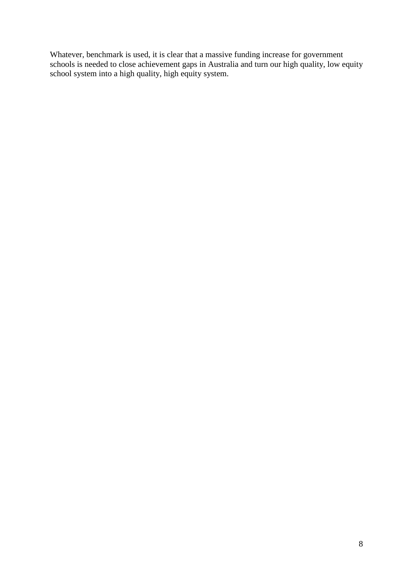Whatever, benchmark is used, it is clear that a massive funding increase for government schools is needed to close achievement gaps in Australia and turn our high quality, low equity school system into a high quality, high equity system.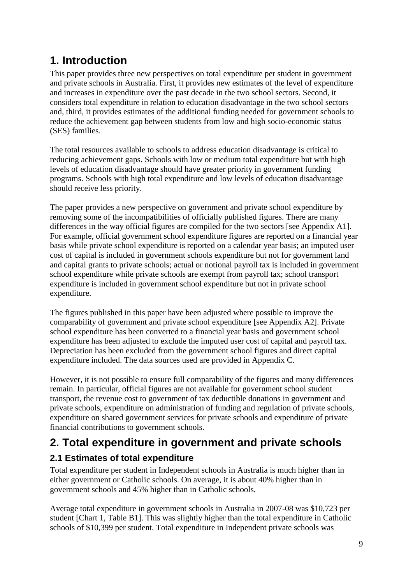# <span id="page-8-0"></span>**1. Introduction**

This paper provides three new perspectives on total expenditure per student in government and private schools in Australia. First, it provides new estimates of the level of expenditure and increases in expenditure over the past decade in the two school sectors. Second, it considers total expenditure in relation to education disadvantage in the two school sectors and, third, it provides estimates of the additional funding needed for government schools to reduce the achievement gap between students from low and high socio-economic status (SES) families.

The total resources available to schools to address education disadvantage is critical to reducing achievement gaps. Schools with low or medium total expenditure but with high levels of education disadvantage should have greater priority in government funding programs. Schools with high total expenditure and low levels of education disadvantage should receive less priority.

The paper provides a new perspective on government and private school expenditure by removing some of the incompatibilities of officially published figures. There are many differences in the way official figures are compiled for the two sectors [see Appendix A1]. For example, official government school expenditure figures are reported on a financial year basis while private school expenditure is reported on a calendar year basis; an imputed user cost of capital is included in government schools expenditure but not for government land and capital grants to private schools; actual or notional payroll tax is included in government school expenditure while private schools are exempt from payroll tax; school transport expenditure is included in government school expenditure but not in private school expenditure.

The figures published in this paper have been adjusted where possible to improve the comparability of government and private school expenditure [see Appendix A2]. Private school expenditure has been converted to a financial year basis and government school expenditure has been adjusted to exclude the imputed user cost of capital and payroll tax. Depreciation has been excluded from the government school figures and direct capital expenditure included. The data sources used are provided in Appendix C.

However, it is not possible to ensure full comparability of the figures and many differences remain. In particular, official figures are not available for government school student transport, the revenue cost to government of tax deductible donations in government and private schools, expenditure on administration of funding and regulation of private schools, expenditure on shared government services for private schools and expenditure of private financial contributions to government schools.

# <span id="page-8-1"></span>**2. Total expenditure in government and private schools**

### <span id="page-8-2"></span>**2.1 Estimates of total expenditure**

Total expenditure per student in Independent schools in Australia is much higher than in either government or Catholic schools. On average, it is about 40% higher than in government schools and 45% higher than in Catholic schools.

Average total expenditure in government schools in Australia in 2007-08 was \$10,723 per student [Chart 1, Table B1]. This was slightly higher than the total expenditure in Catholic schools of \$10,399 per student. Total expenditure in Independent private schools was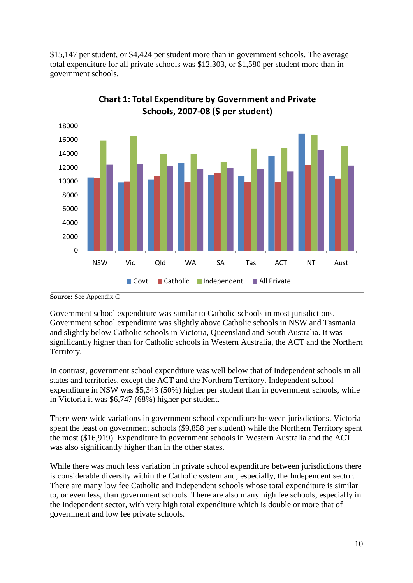

\$15,147 per student, or \$4,424 per student more than in government schools. The average total expenditure for all private schools was \$12,303, or \$1,580 per student more than in government schools.

Government school expenditure was similar to Catholic schools in most jurisdictions. Government school expenditure was slightly above Catholic schools in NSW and Tasmania and slightly below Catholic schools in Victoria, Queensland and South Australia. It was significantly higher than for Catholic schools in Western Australia, the ACT and the Northern Territory.

In contrast, government school expenditure was well below that of Independent schools in all states and territories, except the ACT and the Northern Territory. Independent school expenditure in NSW was \$5,343 (50%) higher per student than in government schools, while in Victoria it was \$6,747 (68%) higher per student.

There were wide variations in government school expenditure between jurisdictions. Victoria spent the least on government schools (\$9,858 per student) while the Northern Territory spent the most (\$16,919). Expenditure in government schools in Western Australia and the ACT was also significantly higher than in the other states.

While there was much less variation in private school expenditure between jurisdictions there is considerable diversity within the Catholic system and, especially, the Independent sector. There are many low fee Catholic and Independent schools whose total expenditure is similar to, or even less, than government schools. There are also many high fee schools, especially in the Independent sector, with very high total expenditure which is double or more that of government and low fee private schools.

**Source:** See Appendix C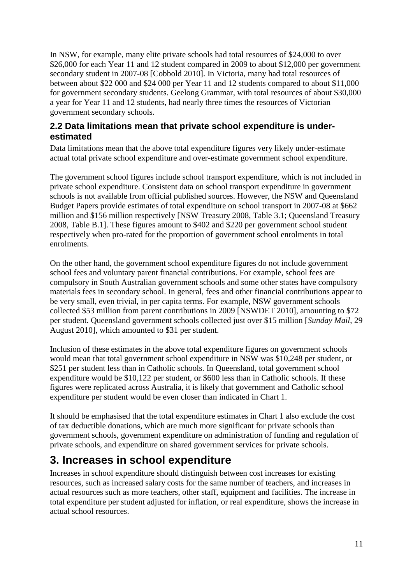In NSW, for example, many elite private schools had total resources of \$24,000 to over \$26,000 for each Year 11 and 12 student compared in 2009 to about \$12,000 per government secondary student in 2007-08 [Cobbold 2010]. In Victoria, many had total resources of between about \$22 000 and \$24 000 per Year 11 and 12 students compared to about \$11,000 for government secondary students. Geelong Grammar, with total resources of about \$30,000 a year for Year 11 and 12 students, had nearly three times the resources of Victorian government secondary schools.

#### <span id="page-10-0"></span>**2.2 Data limitations mean that private school expenditure is underestimated**

Data limitations mean that the above total expenditure figures very likely under-estimate actual total private school expenditure and over-estimate government school expenditure.

The government school figures include school transport expenditure, which is not included in private school expenditure. Consistent data on school transport expenditure in government schools is not available from official published sources. However, the NSW and Queensland Budget Papers provide estimates of total expenditure on school transport in 2007-08 at \$662 million and \$156 million respectively [NSW Treasury 2008, Table 3.1; Queensland Treasury 2008, Table B.1]. These figures amount to \$402 and \$220 per government school student respectively when pro-rated for the proportion of government school enrolments in total enrolments.

On the other hand, the government school expenditure figures do not include government school fees and voluntary parent financial contributions. For example, school fees are compulsory in South Australian government schools and some other states have compulsory materials fees in secondary school. In general, fees and other financial contributions appear to be very small, even trivial, in per capita terms. For example, NSW government schools collected \$53 million from parent contributions in 2009 [NSWDET 2010], amounting to \$72 per student. Queensland government schools collected just over \$15 million [*Sunday Mail*, 29 August 2010], which amounted to \$31 per student.

Inclusion of these estimates in the above total expenditure figures on government schools would mean that total government school expenditure in NSW was \$10,248 per student, or \$251 per student less than in Catholic schools. In Queensland, total government school expenditure would be \$10,122 per student, or \$600 less than in Catholic schools. If these figures were replicated across Australia, it is likely that government and Catholic school expenditure per student would be even closer than indicated in Chart 1.

It should be emphasised that the total expenditure estimates in Chart 1 also exclude the cost of tax deductible donations, which are much more significant for private schools than government schools, government expenditure on administration of funding and regulation of private schools, and expenditure on shared government services for private schools.

# <span id="page-10-1"></span>**3. Increases in school expenditure**

Increases in school expenditure should distinguish between cost increases for existing resources, such as increased salary costs for the same number of teachers, and increases in actual resources such as more teachers, other staff, equipment and facilities. The increase in total expenditure per student adjusted for inflation, or real expenditure, shows the increase in actual school resources.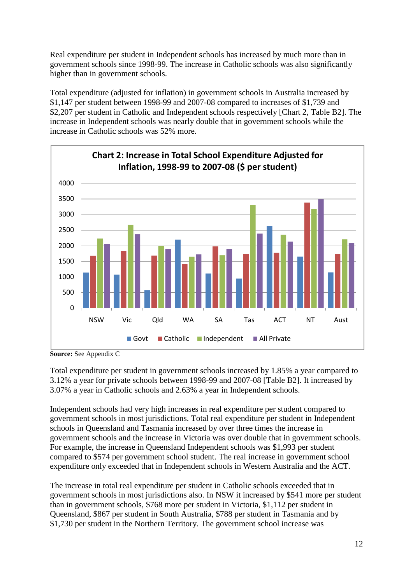Real expenditure per student in Independent schools has increased by much more than in government schools since 1998-99. The increase in Catholic schools was also significantly higher than in government schools.

Total expenditure (adjusted for inflation) in government schools in Australia increased by \$1,147 per student between 1998-99 and 2007-08 compared to increases of \$1,739 and \$2,207 per student in Catholic and Independent schools respectively [Chart 2, Table B2]. The increase in Independent schools was nearly double that in government schools while the increase in Catholic schools was 52% more.



**Source:** See Appendix C

Total expenditure per student in government schools increased by 1.85% a year compared to 3.12% a year for private schools between 1998-99 and 2007-08 [Table B2]. It increased by 3.07% a year in Catholic schools and 2.63% a year in Independent schools.

Independent schools had very high increases in real expenditure per student compared to government schools in most jurisdictions. Total real expenditure per student in Independent schools in Queensland and Tasmania increased by over three times the increase in government schools and the increase in Victoria was over double that in government schools. For example, the increase in Queensland Independent schools was \$1,993 per student compared to \$574 per government school student. The real increase in government school expenditure only exceeded that in Independent schools in Western Australia and the ACT.

The increase in total real expenditure per student in Catholic schools exceeded that in government schools in most jurisdictions also. In NSW it increased by \$541 more per student than in government schools, \$768 more per student in Victoria, \$1,112 per student in Queensland, \$867 per student in South Australia, \$788 per student in Tasmania and by \$1,730 per student in the Northern Territory. The government school increase was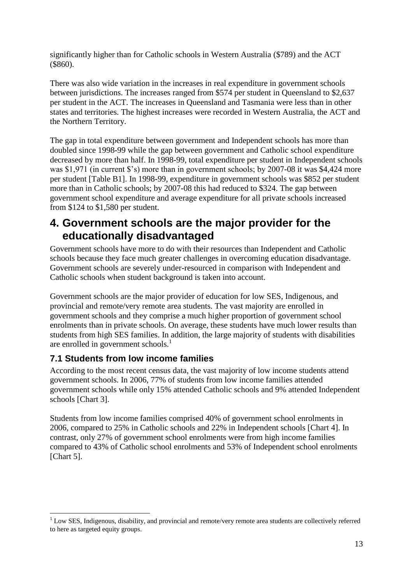significantly higher than for Catholic schools in Western Australia (\$789) and the ACT (\$860).

There was also wide variation in the increases in real expenditure in government schools between jurisdictions. The increases ranged from \$574 per student in Queensland to \$2,637 per student in the ACT. The increases in Queensland and Tasmania were less than in other states and territories. The highest increases were recorded in Western Australia, the ACT and the Northern Territory.

The gap in total expenditure between government and Independent schools has more than doubled since 1998-99 while the gap between government and Catholic school expenditure decreased by more than half. In 1998-99, total expenditure per student in Independent schools was \$1,971 (in current \$'s) more than in government schools; by 2007-08 it was \$4,424 more per student [Table B1]. In 1998-99, expenditure in government schools was \$852 per student more than in Catholic schools; by 2007-08 this had reduced to \$324. The gap between government school expenditure and average expenditure for all private schools increased from \$124 to \$1,580 per student.

### <span id="page-12-0"></span>**4. Government schools are the major provider for the educationally disadvantaged**

Government schools have more to do with their resources than Independent and Catholic schools because they face much greater challenges in overcoming education disadvantage. Government schools are severely under-resourced in comparison with Independent and Catholic schools when student background is taken into account.

Government schools are the major provider of education for low SES, Indigenous, and provincial and remote/very remote area students. The vast majority are enrolled in government schools and they comprise a much higher proportion of government school enrolments than in private schools. On average, these students have much lower results than students from high SES families. In addition, the large majority of students with disabilities are enrolled in government schools.<sup>1</sup>

#### <span id="page-12-1"></span>**7.1 Students from low income families**

1

According to the most recent census data, the vast majority of low income students attend government schools. In 2006, 77% of students from low income families attended government schools while only 15% attended Catholic schools and 9% attended Independent schools [Chart 3].

Students from low income families comprised 40% of government school enrolments in 2006, compared to 25% in Catholic schools and 22% in Independent schools [Chart 4]. In contrast, only 27% of government school enrolments were from high income families compared to 43% of Catholic school enrolments and 53% of Independent school enrolments [Chart 5].

 $1$  Low SES. Indigenous, disability, and provincial and remote/very remote area students are collectively referred to here as targeted equity groups.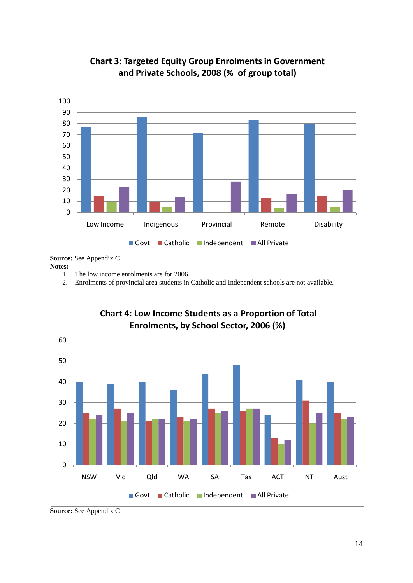

**Source:** See Appendix C

**Notes:**

- 1. The low income enrolments are for 2006.
- 2. Enrolments of provincial area students in Catholic and Independent schools are not available.



**Source:** See Appendix C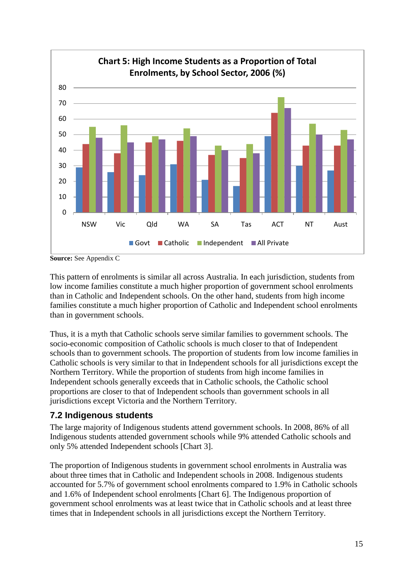

**Source:** See Appendix C

This pattern of enrolments is similar all across Australia. In each jurisdiction, students from low income families constitute a much higher proportion of government school enrolments than in Catholic and Independent schools. On the other hand, students from high income families constitute a much higher proportion of Catholic and Independent school enrolments than in government schools.

Thus, it is a myth that Catholic schools serve similar families to government schools. The socio-economic composition of Catholic schools is much closer to that of Independent schools than to government schools. The proportion of students from low income families in Catholic schools is very similar to that in Independent schools for all jurisdictions except the Northern Territory. While the proportion of students from high income families in Independent schools generally exceeds that in Catholic schools, the Catholic school proportions are closer to that of Independent schools than government schools in all jurisdictions except Victoria and the Northern Territory.

#### <span id="page-14-0"></span>**7.2 Indigenous students**

The large majority of Indigenous students attend government schools. In 2008, 86% of all Indigenous students attended government schools while 9% attended Catholic schools and only 5% attended Independent schools [Chart 3].

The proportion of Indigenous students in government school enrolments in Australia was about three times that in Catholic and Independent schools in 2008. Indigenous students accounted for 5.7% of government school enrolments compared to 1.9% in Catholic schools and 1.6% of Independent school enrolments [Chart 6]. The Indigenous proportion of government school enrolments was at least twice that in Catholic schools and at least three times that in Independent schools in all jurisdictions except the Northern Territory.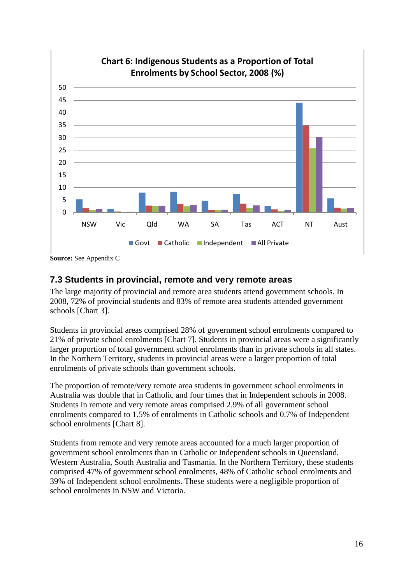

**Source:** See Appendix C

#### **7.3 Students in provincial, remote and very remote areas**

The large majority of provincial and remote area students attend government schools. In 2008, 72% of provincial students and 83% of remote area students attended government schools [Chart 3].

Students in provincial areas comprised 28% of government school enrolments compared to 21% of private school enrolments [Chart 7]. Students in provincial areas were a significantly larger proportion of total government school enrolments than in private schools in all states. In the Northern Territory, students in provincial areas were a larger proportion of total enrolments of private schools than government schools.

The proportion of remote/very remote area students in government school enrolments in Australia was double that in Catholic and four times that in Independent schools in 2008. Students in remote and very remote areas comprised 2.9% of all government school enrolments compared to 1.5% of enrolments in Catholic schools and 0.7% of Independent school enrolments [Chart 8].

Students from remote and very remote areas accounted for a much larger proportion of government school enrolments than in Catholic or Independent schools in Queensland, Western Australia, South Australia and Tasmania. In the Northern Territory, these students comprised 47% of government school enrolments, 48% of Catholic school enrolments and 39% of Independent school enrolments. These students were a negligible proportion of school enrolments in NSW and Victoria.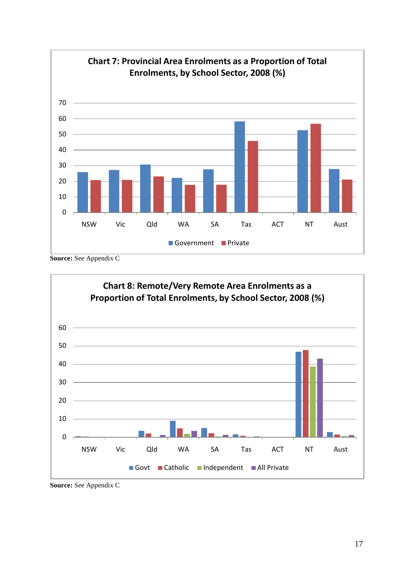

**Source:** See Appendix C

<span id="page-16-0"></span>

**Source:** See Appendix C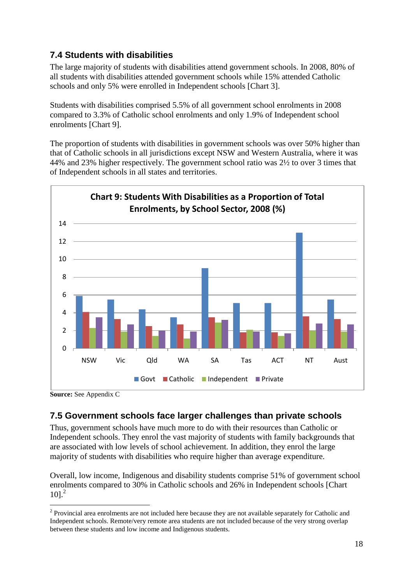### <span id="page-17-0"></span>**7.4 Students with disabilities**

The large majority of students with disabilities attend government schools. In 2008, 80% of all students with disabilities attended government schools while 15% attended Catholic schools and only 5% were enrolled in Independent schools [Chart 3].

Students with disabilities comprised 5.5% of all government school enrolments in 2008 compared to 3.3% of Catholic school enrolments and only 1.9% of Independent school enrolments [Chart 9].

The proportion of students with disabilities in government schools was over 50% higher than that of Catholic schools in all jurisdictions except NSW and Western Australia, where it was 44% and 23% higher respectively. The government school ratio was 2½ to over 3 times that of Independent schools in all states and territories.



**Source:** See Appendix C

<u>.</u>

### <span id="page-17-1"></span>**7.5 Government schools face larger challenges than private schools**

Thus, government schools have much more to do with their resources than Catholic or Independent schools. They enrol the vast majority of students with family backgrounds that are associated with low levels of school achievement. In addition, they enrol the large majority of students with disabilities who require higher than average expenditure.

Overall, low income, Indigenous and disability students comprise 51% of government school enrolments compared to 30% in Catholic schools and 26% in Independent schools [Chart  $10$ <sup>2</sup>

 $2$  Provincial area enrolments are not included here because they are not available separately for Catholic and Independent schools. Remote/very remote area students are not included because of the very strong overlap between these students and low income and Indigenous students.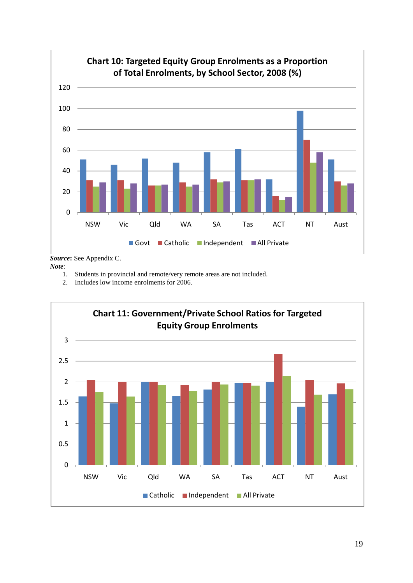

*Note*:

- 1. Students in provincial and remote/very remote areas are not included.
- 2. Includes low income enrolments for 2006.

![](_page_18_Figure_4.jpeg)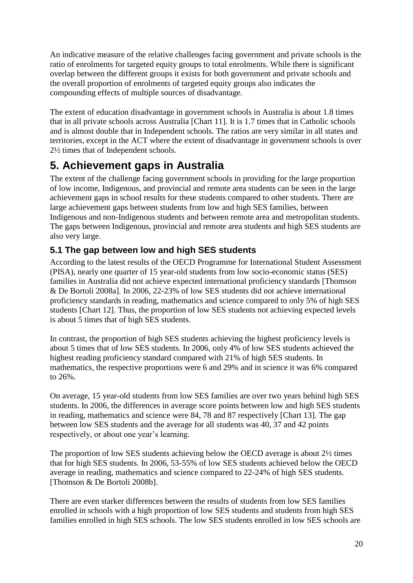An indicative measure of the relative challenges facing government and private schools is the ratio of enrolments for targeted equity groups to total enrolments. While there is significant overlap between the different groups it exists for both government and private schools and the overall proportion of enrolments of targeted equity groups also indicates the compounding effects of multiple sources of disadvantage.

The extent of education disadvantage in government schools in Australia is about 1.8 times that in all private schools across Australia [Chart 11]. It is 1.7 times that in Catholic schools and is almost double that in Independent schools. The ratios are very similar in all states and territories, except in the ACT where the extent of disadvantage in government schools is over 2½ times that of Independent schools.

# <span id="page-19-0"></span>**5. Achievement gaps in Australia**

The extent of the challenge facing government schools in providing for the large proportion of low income, Indigenous, and provincial and remote area students can be seen in the large achievement gaps in school results for these students compared to other students. There are large achievement gaps between students from low and high SES families, between Indigenous and non-Indigenous students and between remote area and metropolitan students. The gaps between Indigenous, provincial and remote area students and high SES students are also very large.

### <span id="page-19-1"></span>**5.1 The gap between low and high SES students**

According to the latest results of the OECD Programme for International Student Assessment (PISA), nearly one quarter of 15 year-old students from low socio-economic status (SES) families in Australia did not achieve expected international proficiency standards [Thomson & De Bortoli 2008a]. In 2006, 22-23% of low SES students did not achieve international proficiency standards in reading, mathematics and science compared to only 5% of high SES students [Chart 12]. Thus, the proportion of low SES students not achieving expected levels is about 5 times that of high SES students.

In contrast, the proportion of high SES students achieving the highest proficiency levels is about 5 times that of low SES students. In 2006, only 4% of low SES students achieved the highest reading proficiency standard compared with 21% of high SES students. In mathematics, the respective proportions were 6 and 29% and in science it was 6% compared to 26%.

On average, 15 year-old students from low SES families are over two years behind high SES students. In 2006, the differences in average score points between low and high SES students in reading, mathematics and science were 84, 78 and 87 respectively [Chart 13]. The gap between low SES students and the average for all students was 40, 37 and 42 points respectively, or about one year's learning.

The proportion of low SES students achieving below the OECD average is about 2½ times that for high SES students. In 2006, 53-55% of low SES students achieved below the OECD average in reading, mathematics and science compared to 22-24% of high SES students. [Thomson & De Bortoli 2008b].

There are even starker differences between the results of students from low SES families enrolled in schools with a high proportion of low SES students and students from high SES families enrolled in high SES schools. The low SES students enrolled in low SES schools are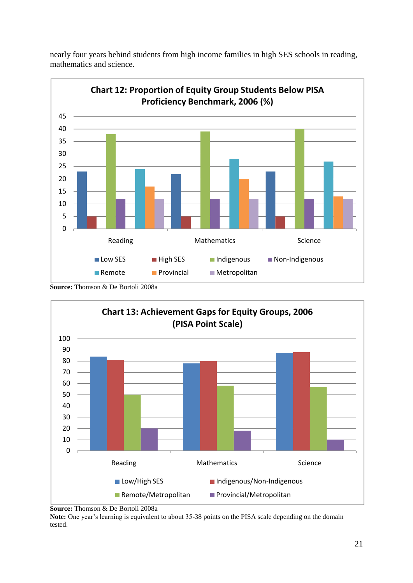![](_page_20_Figure_0.jpeg)

nearly four years behind students from high income families in high SES schools in reading, mathematics and science.

**Source:** Thomson & De Bortoli 2008a

![](_page_20_Figure_3.jpeg)

**Source:** Thomson & De Bortoli 2008a

**Note:** One year's learning is equivalent to about 35-38 points on the PISA scale depending on the domain tested.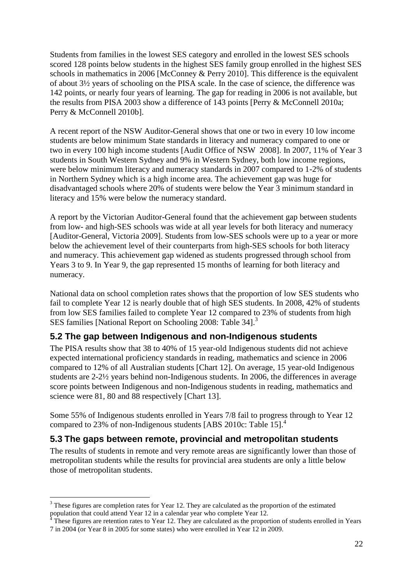Students from families in the lowest SES category and enrolled in the lowest SES schools scored 128 points below students in the highest SES family group enrolled in the highest SES schools in mathematics in 2006 [McConney & Perry 2010]. This difference is the equivalent of about 3½ years of schooling on the PISA scale. In the case of science, the difference was 142 points, or nearly four years of learning. The gap for reading in 2006 is not available, but the results from PISA 2003 show a difference of 143 points [Perry & McConnell 2010a; Perry & McConnell 2010b].

A recent report of the NSW Auditor-General shows that one or two in every 10 low income students are below minimum State standards in literacy and numeracy compared to one or two in every 100 high income students [Audit Office of NSW 2008]. In 2007, 11% of Year 3 students in South Western Sydney and 9% in Western Sydney, both low income regions, were below minimum literacy and numeracy standards in 2007 compared to 1-2% of students in Northern Sydney which is a high income area. The achievement gap was huge for disadvantaged schools where 20% of students were below the Year 3 minimum standard in literacy and 15% were below the numeracy standard.

A report by the Victorian Auditor-General found that the achievement gap between students from low- and high-SES schools was wide at all year levels for both literacy and numeracy [Auditor-General, Victoria 2009]. Students from low-SES schools were up to a year or more below the achievement level of their counterparts from high-SES schools for both literacy and numeracy. This achievement gap widened as students progressed through school from Years 3 to 9. In Year 9, the gap represented 15 months of learning for both literacy and numeracy.

National data on school completion rates shows that the proportion of low SES students who fail to complete Year 12 is nearly double that of high SES students. In 2008, 42% of students from low SES families failed to complete Year 12 compared to 23% of students from high SES families [National Report on Schooling 2008: Table 34].<sup>3</sup>

#### <span id="page-21-0"></span>**5.2 The gap between Indigenous and non-Indigenous students**

The PISA results show that 38 to 40% of 15 year-old Indigenous students did not achieve expected international proficiency standards in reading, mathematics and science in 2006 compared to 12% of all Australian students [Chart 12]. On average, 15 year-old Indigenous students are 2-2½ years behind non-Indigenous students. In 2006, the differences in average score points between Indigenous and non-Indigenous students in reading, mathematics and science were 81, 80 and 88 respectively [Chart 13].

Some 55% of Indigenous students enrolled in Years 7/8 fail to progress through to Year 12 compared to 23% of non-Indigenous students [ABS 2010c: Table 15].<sup>4</sup>

#### <span id="page-21-1"></span>**5.3 The gaps between remote, provincial and metropolitan students**

The results of students in remote and very remote areas are significantly lower than those of metropolitan students while the results for provincial area students are only a little below those of metropolitan students.

1

<sup>&</sup>lt;sup>3</sup> These figures are completion rates for Year 12. They are calculated as the proportion of the estimated population that could attend Year 12 in a calendar year who complete Year 12.

These figures are retention rates to Year 12. They are calculated as the proportion of students enrolled in Years 7 in 2004 (or Year 8 in 2005 for some states) who were enrolled in Year 12 in 2009.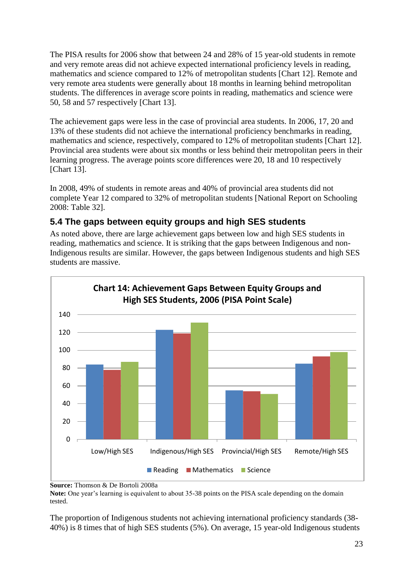The PISA results for 2006 show that between 24 and 28% of 15 year-old students in remote and very remote areas did not achieve expected international proficiency levels in reading, mathematics and science compared to 12% of metropolitan students [Chart 12]. Remote and very remote area students were generally about 18 months in learning behind metropolitan students. The differences in average score points in reading, mathematics and science were 50, 58 and 57 respectively [Chart 13].

The achievement gaps were less in the case of provincial area students. In 2006, 17, 20 and 13% of these students did not achieve the international proficiency benchmarks in reading, mathematics and science, respectively, compared to 12% of metropolitan students [Chart 12]. Provincial area students were about six months or less behind their metropolitan peers in their learning progress. The average points score differences were 20, 18 and 10 respectively [Chart 13].

In 2008, 49% of students in remote areas and 40% of provincial area students did not complete Year 12 compared to 32% of metropolitan students [National Report on Schooling 2008: Table 32].

### <span id="page-22-0"></span>**5.4 The gaps between equity groups and high SES students**

As noted above, there are large achievement gaps between low and high SES students in reading, mathematics and science. It is striking that the gaps between Indigenous and non-Indigenous results are similar. However, the gaps between Indigenous students and high SES students are massive.

![](_page_22_Figure_5.jpeg)

**Source:** Thomson & De Bortoli 2008a

**Note:** One year's learning is equivalent to about 35-38 points on the PISA scale depending on the domain tested.

The proportion of Indigenous students not achieving international proficiency standards (38- 40%) is 8 times that of high SES students (5%). On average, 15 year-old Indigenous students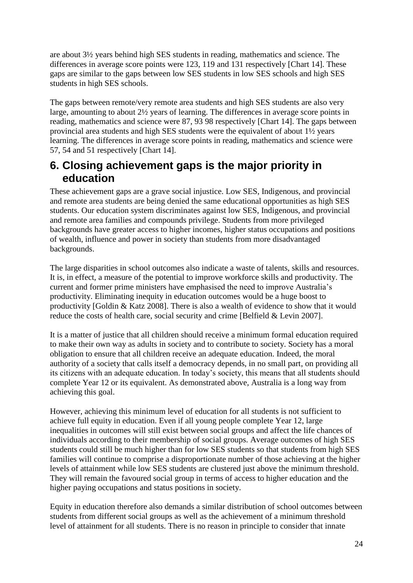are about 3½ years behind high SES students in reading, mathematics and science. The differences in average score points were 123, 119 and 131 respectively [Chart 14]. These gaps are similar to the gaps between low SES students in low SES schools and high SES students in high SES schools.

The gaps between remote/very remote area students and high SES students are also very large, amounting to about 2½ years of learning. The differences in average score points in reading, mathematics and science were 87, 93 98 respectively [Chart 14]. The gaps between provincial area students and high SES students were the equivalent of about 1½ years learning. The differences in average score points in reading, mathematics and science were 57, 54 and 51 respectively [Chart 14].

# <span id="page-23-0"></span>**6. Closing achievement gaps is the major priority in education**

These achievement gaps are a grave social injustice. Low SES, Indigenous, and provincial and remote area students are being denied the same educational opportunities as high SES students. Our education system discriminates against low SES, Indigenous, and provincial and remote area families and compounds privilege. Students from more privileged backgrounds have greater access to higher incomes, higher status occupations and positions of wealth, influence and power in society than students from more disadvantaged backgrounds.

The large disparities in school outcomes also indicate a waste of talents, skills and resources. It is, in effect, a measure of the potential to improve workforce skills and productivity. The current and former prime ministers have emphasised the need to improve Australia's productivity. Eliminating inequity in education outcomes would be a huge boost to productivity [Goldin & Katz 2008]. There is also a wealth of evidence to show that it would reduce the costs of health care, social security and crime [Belfield & Levin 2007].

It is a matter of justice that all children should receive a minimum formal education required to make their own way as adults in society and to contribute to society. Society has a moral obligation to ensure that all children receive an adequate education. Indeed, the moral authority of a society that calls itself a democracy depends, in no small part, on providing all its citizens with an adequate education. In today's society, this means that all students should complete Year 12 or its equivalent. As demonstrated above, Australia is a long way from achieving this goal.

However, achieving this minimum level of education for all students is not sufficient to achieve full equity in education. Even if all young people complete Year 12, large inequalities in outcomes will still exist between social groups and affect the life chances of individuals according to their membership of social groups. Average outcomes of high SES students could still be much higher than for low SES students so that students from high SES families will continue to comprise a disproportionate number of those achieving at the higher levels of attainment while low SES students are clustered just above the minimum threshold. They will remain the favoured social group in terms of access to higher education and the higher paying occupations and status positions in society.

Equity in education therefore also demands a similar distribution of school outcomes between students from different social groups as well as the achievement of a minimum threshold level of attainment for all students. There is no reason in principle to consider that innate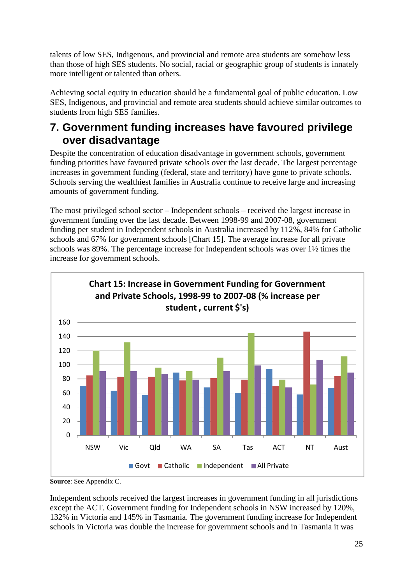talents of low SES, Indigenous, and provincial and remote area students are somehow less than those of high SES students. No social, racial or geographic group of students is innately more intelligent or talented than others.

Achieving social equity in education should be a fundamental goal of public education. Low SES, Indigenous, and provincial and remote area students should achieve similar outcomes to students from high SES families.

# <span id="page-24-0"></span>**7. Government funding increases have favoured privilege over disadvantage**

Despite the concentration of education disadvantage in government schools, government funding priorities have favoured private schools over the last decade. The largest percentage increases in government funding (federal, state and territory) have gone to private schools. Schools serving the wealthiest families in Australia continue to receive large and increasing amounts of government funding.

The most privileged school sector – Independent schools – received the largest increase in government funding over the last decade. Between 1998-99 and 2007-08, government funding per student in Independent schools in Australia increased by 112%, 84% for Catholic schools and 67% for government schools [Chart 15]. The average increase for all private schools was 89%. The percentage increase for Independent schools was over 1½ times the increase for government schools.

![](_page_24_Figure_5.jpeg)

**Source**: See Appendix C.

Independent schools received the largest increases in government funding in all jurisdictions except the ACT. Government funding for Independent schools in NSW increased by 120%, 132% in Victoria and 145% in Tasmania. The government funding increase for Independent schools in Victoria was double the increase for government schools and in Tasmania it was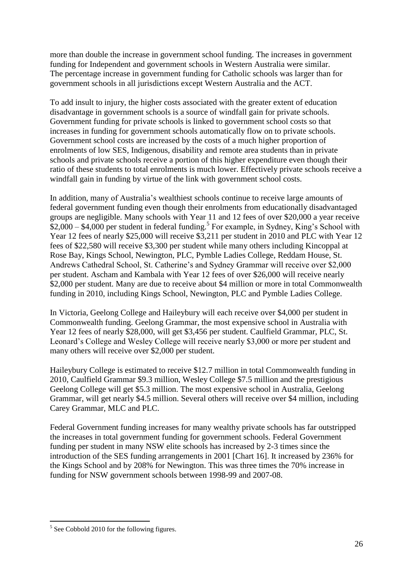more than double the increase in government school funding. The increases in government funding for Independent and government schools in Western Australia were similar. The percentage increase in government funding for Catholic schools was larger than for government schools in all jurisdictions except Western Australia and the ACT.

To add insult to injury, the higher costs associated with the greater extent of education disadvantage in government schools is a source of windfall gain for private schools. Government funding for private schools is linked to government school costs so that increases in funding for government schools automatically flow on to private schools. Government school costs are increased by the costs of a much higher proportion of enrolments of low SES, Indigenous, disability and remote area students than in private schools and private schools receive a portion of this higher expenditure even though their ratio of these students to total enrolments is much lower. Effectively private schools receive a windfall gain in funding by virtue of the link with government school costs.

In addition, many of Australia's wealthiest schools continue to receive large amounts of federal government funding even though their enrolments from educationally disadvantaged groups are negligible. Many schools with Year 11 and 12 fees of over \$20,000 a year receive  $$2,000 - $4,000$  per student in federal funding.<sup>5</sup> For example, in Sydney, King's School with Year 12 fees of nearly \$25,000 will receive \$3,211 per student in 2010 and PLC with Year 12 fees of \$22,580 will receive \$3,300 per student while many others including Kincoppal at Rose Bay, Kings School, Newington, PLC, Pymble Ladies College, Reddam House, St. Andrews Cathedral School, St. Catherine's and Sydney Grammar will receive over \$2,000 per student. Ascham and Kambala with Year 12 fees of over \$26,000 will receive nearly \$2,000 per student. Many are due to receive about \$4 million or more in total Commonwealth funding in 2010, including Kings School, Newington, PLC and Pymble Ladies College.

In Victoria, Geelong College and Haileybury will each receive over \$4,000 per student in Commonwealth funding. Geelong Grammar, the most expensive school in Australia with Year 12 fees of nearly \$28,000, will get \$3,456 per student. Caulfield Grammar, PLC, St. Leonard's College and Wesley College will receive nearly \$3,000 or more per student and many others will receive over \$2,000 per student.

Haileybury College is estimated to receive \$12.7 million in total Commonwealth funding in 2010, Caulfield Grammar \$9.3 million, Wesley College \$7.5 million and the prestigious Geelong College will get \$5.3 million. The most expensive school in Australia, Geelong Grammar, will get nearly \$4.5 million. Several others will receive over \$4 million, including Carey Grammar, MLC and PLC.

Federal Government funding increases for many wealthy private schools has far outstripped the increases in total government funding for government schools. Federal Government funding per student in many NSW elite schools has increased by 2-3 times since the introduction of the SES funding arrangements in 2001 [Chart 16]. It increased by 236% for the Kings School and by 208% for Newington. This was three times the 70% increase in funding for NSW government schools between 1998-99 and 2007-08.

1

<sup>&</sup>lt;sup>5</sup> See Cobbold 2010 for the following figures.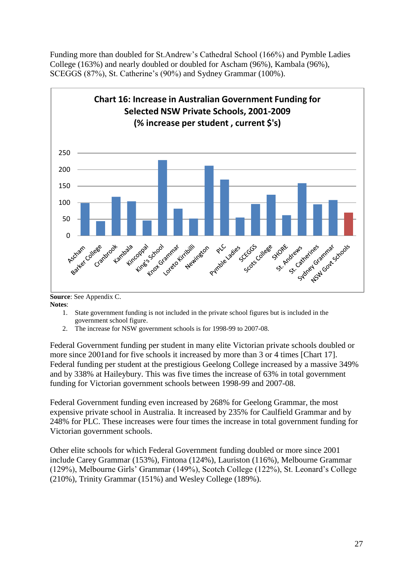Funding more than doubled for St.Andrew's Cathedral School (166%) and Pymble Ladies College (163%) and nearly doubled or doubled for Ascham (96%), Kambala (96%), SCEGGS (87%), St. Catherine's (90%) and Sydney Grammar (100%).

![](_page_26_Figure_1.jpeg)

**Source**: See Appendix C. **Notes**:

- 1. State government funding is not included in the private school figures but is included in the government school figure.
- 2. The increase for NSW government schools is for 1998-99 to 2007-08.

Federal Government funding per student in many elite Victorian private schools doubled or more since 2001and for five schools it increased by more than 3 or 4 times [Chart 17]. Federal funding per student at the prestigious Geelong College increased by a massive 349% and by 338% at Haileybury. This was five times the increase of 63% in total government funding for Victorian government schools between 1998-99 and 2007-08.

Federal Government funding even increased by 268% for Geelong Grammar, the most expensive private school in Australia. It increased by 235% for Caulfield Grammar and by 248% for PLC. These increases were four times the increase in total government funding for Victorian government schools.

Other elite schools for which Federal Government funding doubled or more since 2001 include Carey Grammar (153%), Fintona (124%), Lauriston (116%), Melbourne Grammar (129%), Melbourne Girls' Grammar (149%), Scotch College (122%), St. Leonard's College (210%), Trinity Grammar (151%) and Wesley College (189%).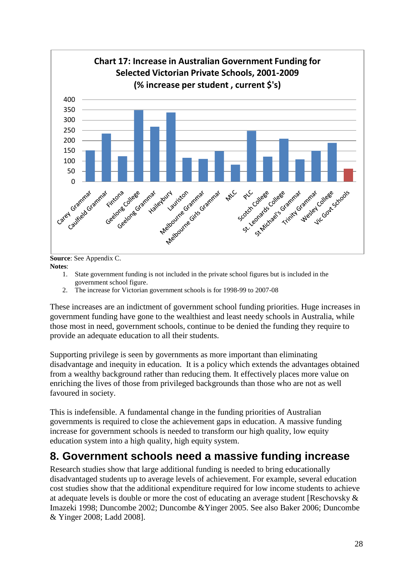![](_page_27_Figure_0.jpeg)

**Source**: See Appendix C. **Notes**:

- 1. State government funding is not included in the private school figures but is included in the government school figure.
- 2. The increase for Victorian government schools is for 1998-99 to 2007-08

These increases are an indictment of government school funding priorities. Huge increases in government funding have gone to the wealthiest and least needy schools in Australia, while those most in need, government schools, continue to be denied the funding they require to provide an adequate education to all their students.

Supporting privilege is seen by governments as more important than eliminating disadvantage and inequity in education. It is a policy which extends the advantages obtained from a wealthy background rather than reducing them. It effectively places more value on enriching the lives of those from privileged backgrounds than those who are not as well favoured in society.

This is indefensible. A fundamental change in the funding priorities of Australian governments is required to close the achievement gaps in education. A massive funding increase for government schools is needed to transform our high quality, low equity education system into a high quality, high equity system.

## <span id="page-27-0"></span>**8. Government schools need a massive funding increase**

Research studies show that large additional funding is needed to bring educationally disadvantaged students up to average levels of achievement. For example, several education cost studies show that the additional expenditure required for low income students to achieve at adequate levels is double or more the cost of educating an average student [Reschovsky & Imazeki 1998; Duncombe 2002; Duncombe &Yinger 2005. See also Baker 2006; Duncombe & Yinger 2008; Ladd 2008].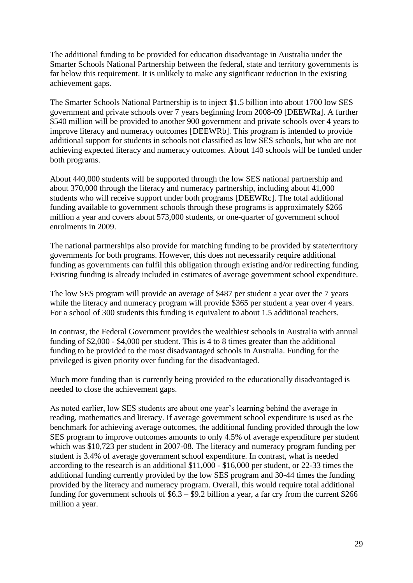The additional funding to be provided for education disadvantage in Australia under the Smarter Schools National Partnership between the federal, state and territory governments is far below this requirement. It is unlikely to make any significant reduction in the existing achievement gaps.

The Smarter Schools National Partnership is to inject \$1.5 billion into about 1700 low SES government and private schools over 7 years beginning from 2008-09 [DEEWRa]. A further \$540 million will be provided to another 900 government and private schools over 4 years to improve literacy and numeracy outcomes [DEEWRb]. This program is intended to provide additional support for students in schools not classified as low SES schools, but who are not achieving expected literacy and numeracy outcomes. About 140 schools will be funded under both programs.

About 440,000 students will be supported through the low SES national partnership and about 370,000 through the literacy and numeracy partnership, including about 41,000 students who will receive support under both programs [DEEWRc]. The total additional funding available to government schools through these programs is approximately \$266 million a year and covers about 573,000 students, or one-quarter of government school enrolments in 2009.

The national partnerships also provide for matching funding to be provided by state/territory governments for both programs. However, this does not necessarily require additional funding as governments can fulfil this obligation through existing and/or redirecting funding. Existing funding is already included in estimates of average government school expenditure.

The low SES program will provide an average of \$487 per student a year over the 7 years while the literacy and numeracy program will provide \$365 per student a year over 4 years. For a school of 300 students this funding is equivalent to about 1.5 additional teachers.

In contrast, the Federal Government provides the wealthiest schools in Australia with annual funding of \$2,000 - \$4,000 per student. This is 4 to 8 times greater than the additional funding to be provided to the most disadvantaged schools in Australia. Funding for the privileged is given priority over funding for the disadvantaged.

Much more funding than is currently being provided to the educationally disadvantaged is needed to close the achievement gaps.

As noted earlier, low SES students are about one year's learning behind the average in reading, mathematics and literacy. If average government school expenditure is used as the benchmark for achieving average outcomes, the additional funding provided through the low SES program to improve outcomes amounts to only 4.5% of average expenditure per student which was \$10,723 per student in 2007-08. The literacy and numeracy program funding per student is 3.4% of average government school expenditure. In contrast, what is needed according to the research is an additional \$11,000 - \$16,000 per student, or 22-33 times the additional funding currently provided by the low SES program and 30-44 times the funding provided by the literacy and numeracy program. Overall, this would require total additional funding for government schools of \$6.3 – \$9.2 billion a year, a far cry from the current \$266 million a year.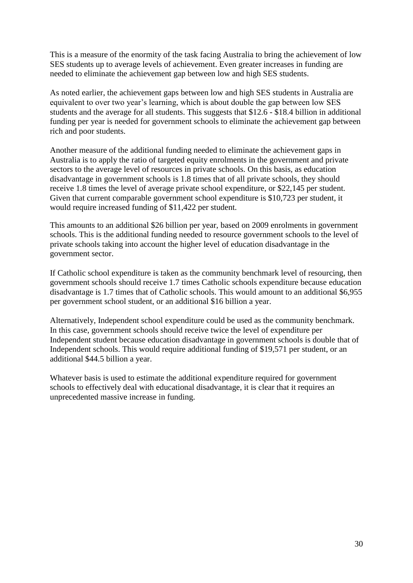This is a measure of the enormity of the task facing Australia to bring the achievement of low SES students up to average levels of achievement. Even greater increases in funding are needed to eliminate the achievement gap between low and high SES students.

As noted earlier, the achievement gaps between low and high SES students in Australia are equivalent to over two year's learning, which is about double the gap between low SES students and the average for all students. This suggests that \$12.6 - \$18.4 billion in additional funding per year is needed for government schools to eliminate the achievement gap between rich and poor students.

Another measure of the additional funding needed to eliminate the achievement gaps in Australia is to apply the ratio of targeted equity enrolments in the government and private sectors to the average level of resources in private schools. On this basis, as education disadvantage in government schools is 1.8 times that of all private schools, they should receive 1.8 times the level of average private school expenditure, or \$22,145 per student. Given that current comparable government school expenditure is \$10,723 per student, it would require increased funding of \$11,422 per student.

This amounts to an additional \$26 billion per year, based on 2009 enrolments in government schools. This is the additional funding needed to resource government schools to the level of private schools taking into account the higher level of education disadvantage in the government sector.

If Catholic school expenditure is taken as the community benchmark level of resourcing, then government schools should receive 1.7 times Catholic schools expenditure because education disadvantage is 1.7 times that of Catholic schools. This would amount to an additional \$6,955 per government school student, or an additional \$16 billion a year.

Alternatively, Independent school expenditure could be used as the community benchmark. In this case, government schools should receive twice the level of expenditure per Independent student because education disadvantage in government schools is double that of Independent schools. This would require additional funding of \$19,571 per student, or an additional \$44.5 billion a year.

Whatever basis is used to estimate the additional expenditure required for government schools to effectively deal with educational disadvantage, it is clear that it requires an unprecedented massive increase in funding.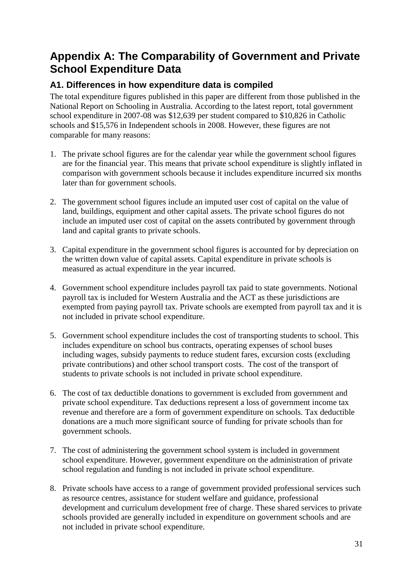# <span id="page-30-0"></span>**Appendix A: The Comparability of Government and Private School Expenditure Data**

### <span id="page-30-1"></span>**A1. Differences in how expenditure data is compiled**

The total expenditure figures published in this paper are different from those published in the National Report on Schooling in Australia. According to the latest report, total government school expenditure in 2007-08 was \$12,639 per student compared to \$10,826 in Catholic schools and \$15,576 in Independent schools in 2008. However, these figures are not comparable for many reasons:

- 1. The private school figures are for the calendar year while the government school figures are for the financial year. This means that private school expenditure is slightly inflated in comparison with government schools because it includes expenditure incurred six months later than for government schools.
- 2. The government school figures include an imputed user cost of capital on the value of land, buildings, equipment and other capital assets. The private school figures do not include an imputed user cost of capital on the assets contributed by government through land and capital grants to private schools.
- 3. Capital expenditure in the government school figures is accounted for by depreciation on the written down value of capital assets. Capital expenditure in private schools is measured as actual expenditure in the year incurred.
- 4. Government school expenditure includes payroll tax paid to state governments. Notional payroll tax is included for Western Australia and the ACT as these jurisdictions are exempted from paying payroll tax. Private schools are exempted from payroll tax and it is not included in private school expenditure.
- 5. Government school expenditure includes the cost of transporting students to school. This includes expenditure on school bus contracts, operating expenses of school buses including wages, subsidy payments to reduce student fares, excursion costs (excluding private contributions) and other school transport costs. The cost of the transport of students to private schools is not included in private school expenditure.
- 6. The cost of tax deductible donations to government is excluded from government and private school expenditure. Tax deductions represent a loss of government income tax revenue and therefore are a form of government expenditure on schools. Tax deductible donations are a much more significant source of funding for private schools than for government schools.
- 7. The cost of administering the government school system is included in government school expenditure. However, government expenditure on the administration of private school regulation and funding is not included in private school expenditure.
- 8. Private schools have access to a range of government provided professional services such as resource centres, assistance for student welfare and guidance, professional development and curriculum development free of charge. These shared services to private schools provided are generally included in expenditure on government schools and are not included in private school expenditure.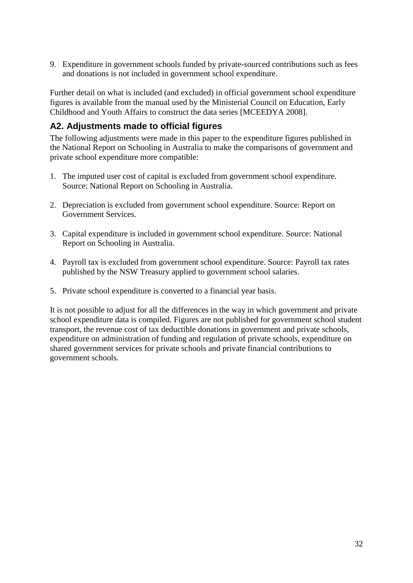9. Expenditure in government schools funded by private-sourced contributions such as fees and donations is not included in government school expenditure.

Further detail on what is included (and excluded) in official government school expenditure figures is available from the manual used by the Ministerial Council on Education, Early Childhood and Youth Affairs to construct the data series [MCEEDYA 2008].

#### <span id="page-31-0"></span>**A2. Adjustments made to official figures**

The following adjustments were made in this paper to the expenditure figures published in the National Report on Schooling in Australia to make the comparisons of government and private school expenditure more compatible:

- 1. The imputed user cost of capital is excluded from government school expenditure. Source: National Report on Schooling in Australia.
- 2. Depreciation is excluded from government school expenditure. Source: Report on Government Services.
- 3. Capital expenditure is included in government school expenditure. Source: National Report on Schooling in Australia.
- 4. Payroll tax is excluded from government school expenditure. Source: Payroll tax rates published by the NSW Treasury applied to government school salaries.
- 5. Private school expenditure is converted to a financial year basis.

It is not possible to adjust for all the differences in the way in which government and private school expenditure data is compiled. Figures are not published for government school student transport, the revenue cost of tax deductible donations in government and private schools, expenditure on administration of funding and regulation of private schools, expenditure on shared government services for private schools and private financial contributions to government schools.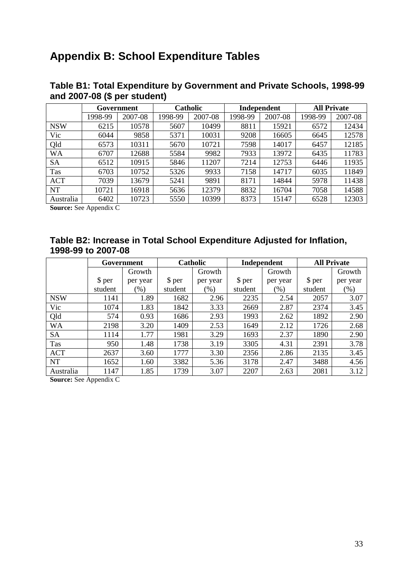# <span id="page-32-0"></span>**Appendix B: School Expenditure Tables**

|            | Government |         | <b>Catholic</b> |         | Independent |         | <b>All Private</b> |         |
|------------|------------|---------|-----------------|---------|-------------|---------|--------------------|---------|
|            | 1998-99    | 2007-08 | 1998-99         | 2007-08 | 1998-99     | 2007-08 | 1998-99            | 2007-08 |
| <b>NSW</b> | 6215       | 10578   | 5607            | 10499   | 8811        | 15921   | 6572               | 12434   |
| Vic        | 6044       | 9858    | 5371            | 10031   | 9208        | 16605   | 6645               | 12578   |
| Qld        | 6573       | 10311   | 5670            | 10721   | 7598        | 14017   | 6457               | 12185   |
| WA         | 6707       | 12688   | 5584            | 9982    | 7933        | 13972   | 6435               | 11783   |
| SA         | 6512       | 10915   | 5846            | 11207   | 7214        | 12753   | 6446               | 11935   |
| Tas        | 6703       | 10752   | 5326            | 9933    | 7158        | 14717   | 6035               | 11849   |
| <b>ACT</b> | 7039       | 13679   | 5241            | 9891    | 8171        | 14844   | 5978               | 11438   |
| NT         | 10721      | 16918   | 5636            | 12379   | 8832        | 16704   | 7058               | 14588   |
| Australia  | 6402       | 10723   | 5550            | 10399   | 8373        | 15147   | 6528               | 12303   |

#### **Table B1: Total Expenditure by Government and Private Schools, 1998-99 and 2007-08 (\$ per student)**

**Source:** See Appendix C

#### **Table B2: Increase in Total School Expenditure Adjusted for Inflation, 1998-99 to 2007-08**

|            | Government |          | <b>Catholic</b> |          | Independent |          | <b>All Private</b> |          |
|------------|------------|----------|-----------------|----------|-------------|----------|--------------------|----------|
|            |            | Growth   |                 | Growth   |             | Growth   |                    | Growth   |
|            | \$ per     | per year | \$ per          | per year | \$ per      | per year | \$ per             | per year |
|            | student    | $(\%)$   | student         | (% )     | student     | (% )     | student            | (% )     |
| <b>NSW</b> | 1141       | 1.89     | 1682            | 2.96     | 2235        | 2.54     | 2057               | 3.07     |
| Vic        | 1074       | 1.83     | 1842            | 3.33     | 2669        | 2.87     | 2374               | 3.45     |
| Qld        | 574        | 0.93     | 1686            | 2.93     | 1993        | 2.62     | 1892               | 2.90     |
| <b>WA</b>  | 2198       | 3.20     | 1409            | 2.53     | 1649        | 2.12     | 1726               | 2.68     |
| <b>SA</b>  | 1114       | 1.77     | 1981            | 3.29     | 1693        | 2.37     | 1890               | 2.90     |
| Tas        | 950        | 1.48     | 1738            | 3.19     | 3305        | 4.31     | 2391               | 3.78     |
| <b>ACT</b> | 2637       | 3.60     | 1777            | 3.30     | 2356        | 2.86     | 2135               | 3.45     |
| <b>NT</b>  | 1652       | 1.60     | 3382            | 5.36     | 3178        | 2.47     | 3488               | 4.56     |
| Australia  | 1147       | 1.85     | 1739            | 3.07     | 2207        | 2.63     | 2081               | 3.12     |

**Source:** See Appendix C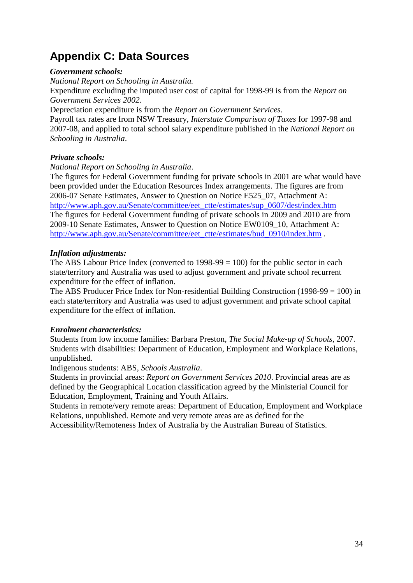# <span id="page-33-0"></span>**Appendix C: Data Sources**

#### *Government schools:*

*National Report on Schooling in Australia.* 

Expenditure excluding the imputed user cost of capital for 1998-99 is from the *Report on Government Services 2002*.

Depreciation expenditure is from the *Report on Government Services*.

Payroll tax rates are from NSW Treasury, *Interstate Comparison of Taxes* for 1997-98 and 2007-08, and applied to total school salary expenditure published in the *National Report on Schooling in Australia*.

#### *Private schools:*

*National Report on Schooling in Australia*.

The figures for Federal Government funding for private schools in 2001 are what would have been provided under the Education Resources Index arrangements. The figures are from 2006-07 Senate Estimates, Answer to Question on Notice E525\_07, Attachment A: [http://www.aph.gov.au/Senate/committee/eet\\_ctte/estimates/sup\\_0607/dest/index.htm](http://www.aph.gov.au/Senate/committee/eet_ctte/estimates/sup_0607/dest/index.htm) The figures for Federal Government funding of private schools in 2009 and 2010 are from 2009-10 Senate Estimates, Answer to Question on Notice EW0109\_10, Attachment A: [http://www.aph.gov.au/Senate/committee/eet\\_ctte/estimates/bud\\_0910/index.htm](http://www.aph.gov.au/Senate/committee/eet_ctte/estimates/bud_0910/index.htm) .

#### *Inflation adjustments:*

The ABS Labour Price Index (converted to  $1998-99 = 100$ ) for the public sector in each state/territory and Australia was used to adjust government and private school recurrent expenditure for the effect of inflation.

The ABS Producer Price Index for Non-residential Building Construction (1998-99 = 100) in each state/territory and Australia was used to adjust government and private school capital expenditure for the effect of inflation.

#### *Enrolment characteristics:*

Students from low income families: Barbara Preston, *The Social Make-up of Schools*, 2007. Students with disabilities: Department of Education, Employment and Workplace Relations, unpublished.

Indigenous students: ABS, *Schools Australia*.

Students in provincial areas: *Report on Government Services 2010*. Provincial areas are as defined by the Geographical Location classification agreed by the Ministerial Council for Education, Employment, Training and Youth Affairs.

Students in remote/very remote areas: Department of Education, Employment and Workplace Relations, unpublished. Remote and very remote areas are as defined for the

Accessibility/Remoteness Index of Australia by the Australian Bureau of Statistics.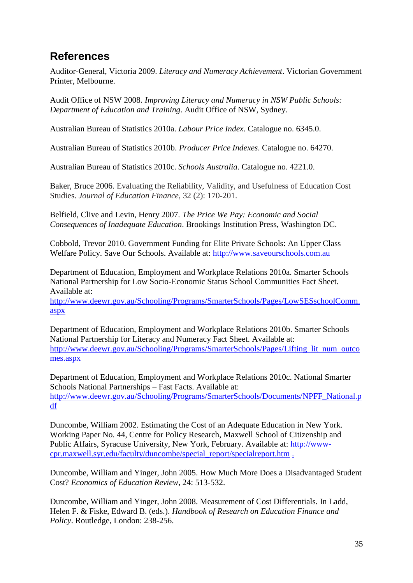# <span id="page-34-0"></span>**References**

Auditor-General, Victoria 2009. *Literacy and Numeracy Achievement*. Victorian Government Printer, Melbourne.

Audit Office of NSW 2008. *Improving Literacy and Numeracy in NSW Public Schools: Department of Education and Training*. Audit Office of NSW, Sydney.

Australian Bureau of Statistics 2010a. *Labour Price Index*. Catalogue no. 6345.0.

Australian Bureau of Statistics 2010b. *Producer Price Indexes*. Catalogue no. 64270.

Australian Bureau of Statistics 2010c. *Schools Australia*. Catalogue no. 4221.0.

Baker, Bruce 2006. Evaluating the Reliability, Validity, and Usefulness of Education Cost Studies. *Journal of Education Finance*, 32 (2): 170-201.

Belfield, Clive and Levin, Henry 2007. *The Price We Pay: Economic and Social Consequences of Inadequate Education*. Brookings Institution Press, Washington DC.

Cobbold, Trevor 2010. Government Funding for Elite Private Schools: An Upper Class Welfare Policy. Save Our Schools. Available at: [http://www.saveourschools.com.au](http://www.saveourschools.com.au/)

Department of Education, Employment and Workplace Relations 2010a. Smarter Schools National Partnership for Low Socio-Economic Status School Communities Fact Sheet. Available at:

[http://www.deewr.gov.au/Schooling/Programs/SmarterSchools/Pages/LowSESschoolComm.](http://www.deewr.gov.au/Schooling/Programs/SmarterSchools/Pages/LowSESschoolComm.aspx) [aspx](http://www.deewr.gov.au/Schooling/Programs/SmarterSchools/Pages/LowSESschoolComm.aspx)

Department of Education, Employment and Workplace Relations 2010b. Smarter Schools National Partnership for Literacy and Numeracy Fact Sheet. Available at: [http://www.deewr.gov.au/Schooling/Programs/SmarterSchools/Pages/Lifting\\_lit\\_num\\_outco](http://www.deewr.gov.au/Schooling/Programs/SmarterSchools/Pages/Lifting_lit_num_outcomes.aspx) [mes.aspx](http://www.deewr.gov.au/Schooling/Programs/SmarterSchools/Pages/Lifting_lit_num_outcomes.aspx)

Department of Education, Employment and Workplace Relations 2010c. National Smarter Schools National Partnerships – Fast Facts. Available at: [http://www.deewr.gov.au/Schooling/Programs/SmarterSchools/Documents/NPFF\\_National.p](http://www.deewr.gov.au/Schooling/Programs/SmarterSchools/Documents/NPFF_National.pdf) [df](http://www.deewr.gov.au/Schooling/Programs/SmarterSchools/Documents/NPFF_National.pdf)

Duncombe, William 2002. Estimating the Cost of an Adequate Education in New York. Working Paper No. 44, Centre for Policy Research, Maxwell School of Citizenship and Public Affairs, Syracuse University, New York, February. Available at: [http://www](http://www-cpr.maxwell.syr.edu/faculty/duncombe/special_report/specialreport.htm)[cpr.maxwell.syr.edu/faculty/duncombe/special\\_report/specialreport.htm](http://www-cpr.maxwell.syr.edu/faculty/duncombe/special_report/specialreport.htm) .

Duncombe, William and Yinger, John 2005. How Much More Does a Disadvantaged Student Cost? *Economics of Education Review*, 24: 513-532.

Duncombe, William and Yinger, John 2008. Measurement of Cost Differentials. In Ladd, Helen F. & Fiske, Edward B. (eds.). *Handbook of Research on Education Finance and Policy*. Routledge, London: 238-256.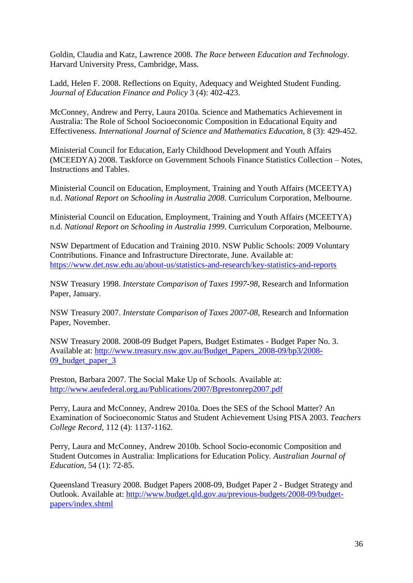Goldin, Claudia and Katz, Lawrence 2008. *The Race between Education and Technology*. Harvard University Press, Cambridge, Mass.

Ladd, Helen F. 2008. Reflections on Equity, Adequacy and Weighted Student Funding. *Journal of Education Finance and Policy* 3 (4): 402-423.

McConney, Andrew and Perry, Laura 2010a. Science and Mathematics Achievement in Australia: The Role of School Socioeconomic Composition in Educational Equity and Effectiveness. *International Journal of Science and Mathematics Education*, 8 (3): 429-452.

Ministerial Council for Education, Early Childhood Development and Youth Affairs (MCEEDYA) 2008. Taskforce on Government Schools Finance Statistics Collection – Notes, Instructions and Tables.

Ministerial Council on Education, Employment, Training and Youth Affairs (MCEETYA) n.d. *National Report on Schooling in Australia 2008*. Curriculum Corporation, Melbourne.

Ministerial Council on Education, Employment, Training and Youth Affairs (MCEETYA) n.d. *National Report on Schooling in Australia 1999*. Curriculum Corporation, Melbourne.

NSW Department of Education and Training 2010. NSW Public Schools: 2009 Voluntary Contributions. Finance and Infrastructure Directorate, June. Available at: <https://www.det.nsw.edu.au/about-us/statistics-and-research/key-statistics-and-reports>

NSW Treasury 1998. *Interstate Comparison of Taxes 1997-98*, Research and Information Paper, January.

NSW Treasury 2007. *Interstate Comparison of Taxes 2007-08*, Research and Information Paper, November.

NSW Treasury 2008. 2008-09 Budget Papers, Budget Estimates - Budget Paper No. 3. Available at: [http://www.treasury.nsw.gov.au/Budget\\_Papers\\_2008-09/bp3/2008-](http://www.treasury.nsw.gov.au/Budget_Papers_2008-09/bp3/2008-09_budget_paper_3) [09\\_budget\\_paper\\_3](http://www.treasury.nsw.gov.au/Budget_Papers_2008-09/bp3/2008-09_budget_paper_3)

Preston, Barbara 2007. The Social Make Up of Schools. Available at: <http://www.aeufederal.org.au/Publications/2007/Bprestonrep2007.pdf>

Perry, Laura and McConney, Andrew 2010a. Does the SES of the School Matter? An Examination of Socioeconomic Status and Student Achievement Using PISA 2003. *Teachers College Record*, 112 (4): 1137-1162.

Perry, Laura and McConney, Andrew 2010b. School Socio-economic Composition and Student Outcomes in Australia: Implications for Education Policy. *Australian Journal of Education*, 54 (1): 72-85.

Queensland Treasury 2008. Budget Papers 2008-09, Budget Paper 2 - Budget Strategy and Outlook. Available at: [http://www.budget.qld.gov.au/previous-budgets/2008-09/budget](http://www.budget.qld.gov.au/previous-budgets/2008-09/budget-papers/index.shtml)[papers/index.shtml](http://www.budget.qld.gov.au/previous-budgets/2008-09/budget-papers/index.shtml)